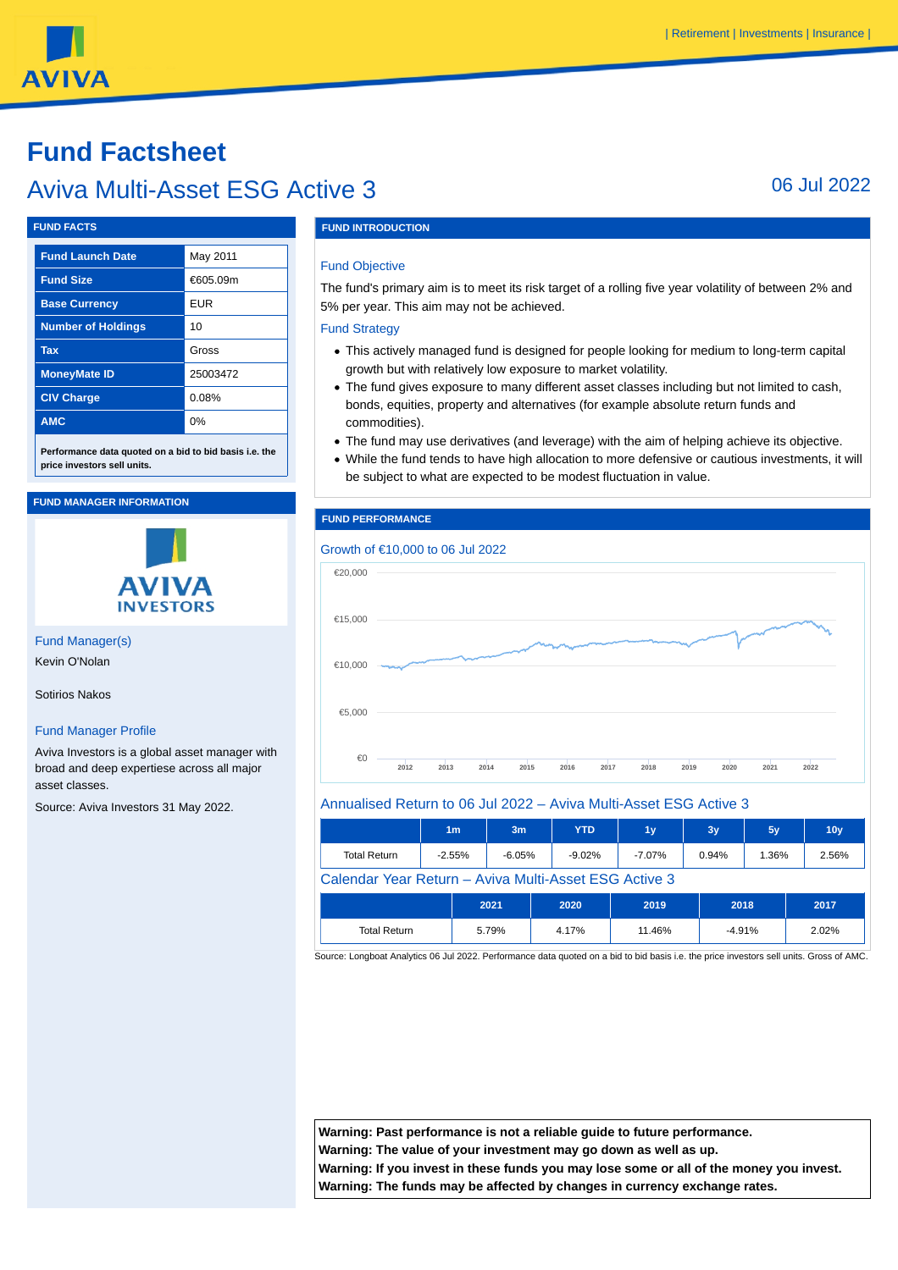# **AVIVA**

# **Fund Factsheet**

# Aviva Multi-Asset ESG Active 3 06 Jul 2022

#### **FUND FACTS**

| <b>Fund Launch Date</b>   | May 2011   |
|---------------------------|------------|
| <b>Fund Size</b>          | €605.09m   |
| <b>Base Currency</b>      | <b>EUR</b> |
| <b>Number of Holdings</b> | 10         |
| <b>Tax</b>                | Gross      |
| <b>MoneyMate ID</b>       | 25003472   |
| <b>CIV Charge</b>         | 0.08%      |
| <b>AMC</b>                | 0%         |
|                           |            |

**Performance data quoted on a bid to bid basis i.e. the price investors sell units.**

#### **FUND MANAGER INFORMATION**



Fund Manager(s) Kevin O'Nolan

Sotirios Nakos

#### Fund Manager Profile

Aviva Investors is a global asset manager with broad and deep expertiese across all major asset classes.

Source: Aviva Investors 31 May 2022.

## **FUND INTRODUCTION**

#### Fund Objective

The fund's primary aim is to meet its risk target of a rolling five year volatility of between 2% and 5% per year. This aim may not be achieved.

#### Fund Strategy

- This actively managed fund is designed for people looking for medium to long-term capital growth but with relatively low exposure to market volatility.
- The fund gives exposure to many different asset classes including but not limited to cash, bonds, equities, property and alternatives (for example absolute return funds and commodities).
- The fund may use derivatives (and leverage) with the aim of helping achieve its objective.
- While the fund tends to have high allocation to more defensive or cautious investments, it will be subject to what are expected to be modest fluctuation in value.

#### **FUND PERFORMANCE**



#### Annualised Return to 06 Jul 2022 – Aviva Multi-Asset ESG Active 3

|                                                       | 1 <sub>m</sub> | 3m       |  | <b>YTD</b> | 1 <sub>y</sub> | 3y    | 5y       | 10 <sub>V</sub> |
|-------------------------------------------------------|----------------|----------|--|------------|----------------|-------|----------|-----------------|
| <b>Total Return</b>                                   | $-2.55%$       | $-6.05%$ |  | $-9.02%$   | $-7.07\%$      | 0.94% | 1.36%    | 2.56%           |
| Calendar Year Return – Aviva Multi-Asset ESG Active 3 |                |          |  |            |                |       |          |                 |
|                                                       |                | 2021     |  | 2020       | 2019           |       | 2018     | 2017            |
| <b>Total Return</b>                                   |                | 5.79%    |  | 4.17%      | 11.46%         |       | $-4.91%$ | 2.02%           |

Source: Longboat Analytics 06 Jul 2022. Performance data quoted on a bid to bid basis i.e. the price investors sell units. Gross of AMC.

**Warning: Past performance is not a reliable guide to future performance. Warning: The value of your investment may go down as well as up. Warning: If you invest in these funds you may lose some or all of the money you invest. Warning: The funds may be affected by changes in currency exchange rates.**